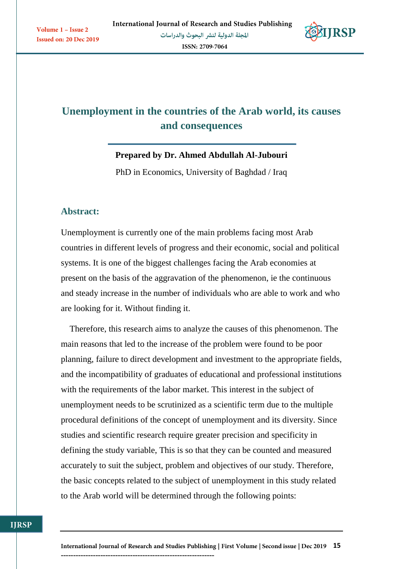

# **Unemployment in the countries of the Arab world, its causes and consequences**

**Prepared by Dr. Ahmed Abdullah Al-Jubouri**

PhD in Economics, University of Baghdad / Iraq

### **Abstract:**

Unemployment is currently one of the main problems facing most Arab countries in different levels of progress and their economic, social and political systems. It is one of the biggest challenges facing the Arab economies at present on the basis of the aggravation of the phenomenon, ie the continuous and steady increase in the number of individuals who are able to work and who are looking for it. Without finding it.

 Therefore, this research aims to analyze the causes of this phenomenon. The main reasons that led to the increase of the problem were found to be poor planning, failure to direct development and investment to the appropriate fields, and the incompatibility of graduates of educational and professional institutions with the requirements of the labor market. This interest in the subject of unemployment needs to be scrutinized as a scientific term due to the multiple procedural definitions of the concept of unemployment and its diversity. Since studies and scientific research require greater precision and specificity in defining the study variable, This is so that they can be counted and measured accurately to suit the subject, problem and objectives of our study. Therefore, the basic concepts related to the subject of unemployment in this study related to the Arab world will be determined through the following points: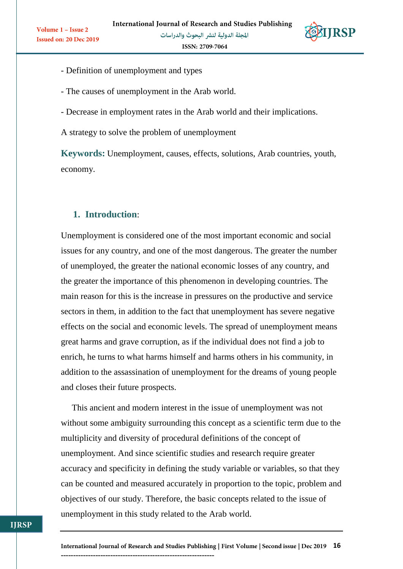

Volume 1 - Issue 2

- Definition of unemployment and types
- The causes of unemployment in the Arab world.
- Decrease in employment rates in the Arab world and their implications.

A strategy to solve the problem of unemployment

**Keywords:** Unemployment, causes, effects, solutions, Arab countries, youth, economy.

# **1. Introduction**:

Unemployment is considered one of the most important economic and social issues for any country, and one of the most dangerous. The greater the number of unemployed, the greater the national economic losses of any country, and the greater the importance of this phenomenon in developing countries. The main reason for this is the increase in pressures on the productive and service sectors in them, in addition to the fact that unemployment has severe negative effects on the social and economic levels. The spread of unemployment means great harms and grave corruption, as if the individual does not find a job to enrich, he turns to what harms himself and harms others in his community, in addition to the assassination of unemployment for the dreams of young people and closes their future prospects.

 This ancient and modern interest in the issue of unemployment was not without some ambiguity surrounding this concept as a scientific term due to the multiplicity and diversity of procedural definitions of the concept of unemployment. And since scientific studies and research require greater accuracy and specificity in defining the study variable or variables, so that they can be counted and measured accurately in proportion to the topic, problem and objectives of our study. Therefore, the basic concepts related to the issue of unemployment in this study related to the Arab world.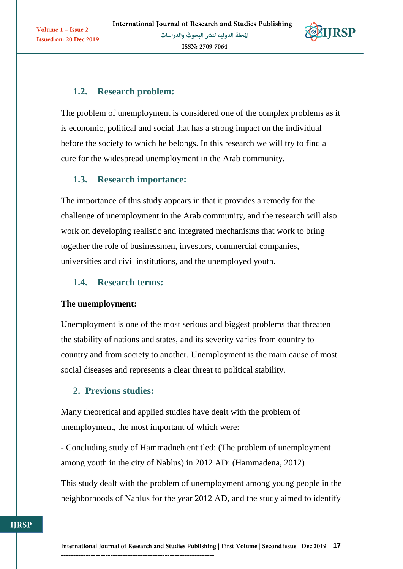

# **1.2. Research problem:**

Volume 1 - Issue 2

Issued on: 20 Dec 2019

The problem of unemployment is considered one of the complex problems as it is economic, political and social that has a strong impact on the individual before the society to which he belongs. In this research we will try to find a cure for the widespread unemployment in the Arab community.

### **1.3. Research importance:**

The importance of this study appears in that it provides a remedy for the challenge of unemployment in the Arab community, and the research will also work on developing realistic and integrated mechanisms that work to bring together the role of businessmen, investors, commercial companies, universities and civil institutions, and the unemployed youth.

### **1.4. Research terms:**

### **The unemployment:**

Unemployment is one of the most serious and biggest problems that threaten the stability of nations and states, and its severity varies from country to country and from society to another. Unemployment is the main cause of most social diseases and represents a clear threat to political stability.

# **2. Previous studies:**

--------------------------------------------------------------

Many theoretical and applied studies have dealt with the problem of unemployment, the most important of which were:

- Concluding study of Hammadneh entitled: (The problem of unemployment among youth in the city of Nablus) in 2012 AD: (Hammadena, 2012)

This study dealt with the problem of unemployment among young people in the neighborhoods of Nablus for the year 2012 AD, and the study aimed to identify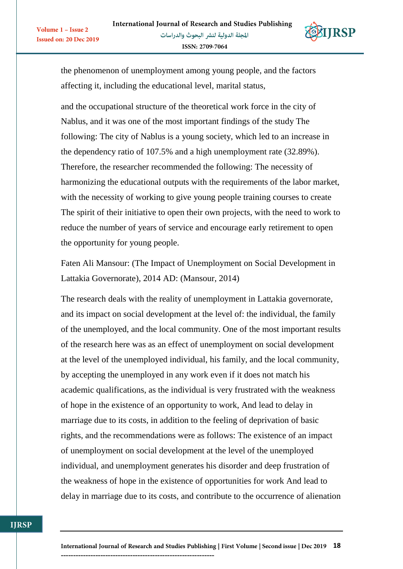

the phenomenon of unemployment among young people, and the factors affecting it, including the educational level, marital status,

Volume 1 - Issue 2

**Issued on: 20 Dec 2019** 

and the occupational structure of the theoretical work force in the city of Nablus, and it was one of the most important findings of the study The following: The city of Nablus is a young society, which led to an increase in the dependency ratio of 107.5% and a high unemployment rate (32.89%). Therefore, the researcher recommended the following: The necessity of harmonizing the educational outputs with the requirements of the labor market, with the necessity of working to give young people training courses to create The spirit of their initiative to open their own projects, with the need to work to reduce the number of years of service and encourage early retirement to open the opportunity for young people.

Faten Ali Mansour: (The Impact of Unemployment on Social Development in Lattakia Governorate), 2014 AD: (Mansour, 2014)

The research deals with the reality of unemployment in Lattakia governorate, and its impact on social development at the level of: the individual, the family of the unemployed, and the local community. One of the most important results of the research here was as an effect of unemployment on social development at the level of the unemployed individual, his family, and the local community, by accepting the unemployed in any work even if it does not match his academic qualifications, as the individual is very frustrated with the weakness of hope in the existence of an opportunity to work, And lead to delay in marriage due to its costs, in addition to the feeling of deprivation of basic rights, and the recommendations were as follows: The existence of an impact of unemployment on social development at the level of the unemployed individual, and unemployment generates his disorder and deep frustration of the weakness of hope in the existence of opportunities for work And lead to delay in marriage due to its costs, and contribute to the occurrence of alienation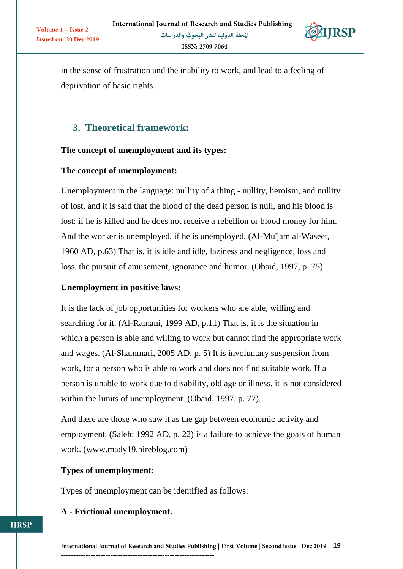

in the sense of frustration and the inability to work, and lead to a feeling of deprivation of basic rights.

# **3. Theoretical framework:**

#### **The concept of unemployment and its types:**

#### **The concept of unemployment:**

Volume 1 - Issue 2

Unemployment in the language: nullity of a thing - nullity, heroism, and nullity of lost, and it is said that the blood of the dead person is null, and his blood is lost: if he is killed and he does not receive a rebellion or blood money for him. And the worker is unemployed, if he is unemployed. (Al-Mu'jam al-Waseet, 1960 AD, p.63) That is, it is idle and idle, laziness and negligence, loss and loss, the pursuit of amusement, ignorance and humor. (Obaid, 1997, p. 75).

#### **Unemployment in positive laws:**

It is the lack of job opportunities for workers who are able, willing and searching for it. (Al-Ramani, 1999 AD, p.11) That is, it is the situation in which a person is able and willing to work but cannot find the appropriate work and wages. (Al-Shammari, 2005 AD, p. 5) It is involuntary suspension from work, for a person who is able to work and does not find suitable work. If a person is unable to work due to disability, old age or illness, it is not considered within the limits of unemployment. (Obaid, 1997, p. 77).

And there are those who saw it as the gap between economic activity and employment. (Saleh: 1992 AD, p. 22) is a failure to achieve the goals of human work. (www.mady19.nireblog.com)

#### **Types of unemployment:**

Types of unemployment can be identified as follows:

#### **A - Frictional unemployment.**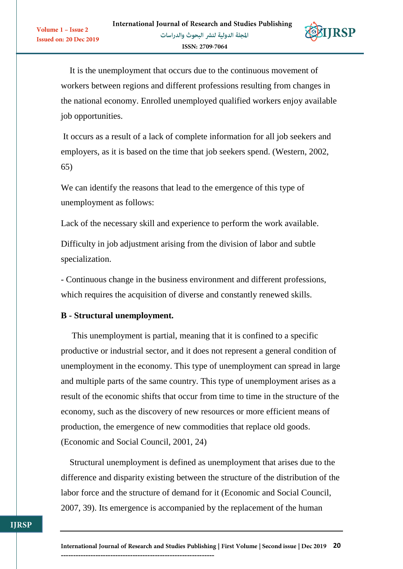

 It is the unemployment that occurs due to the continuous movement of workers between regions and different professions resulting from changes in the national economy. Enrolled unemployed qualified workers enjoy available job opportunities.

It occurs as a result of a lack of complete information for all job seekers and employers, as it is based on the time that job seekers spend. (Western, 2002, 65)

We can identify the reasons that lead to the emergence of this type of unemployment as follows:

Lack of the necessary skill and experience to perform the work available.

Difficulty in job adjustment arising from the division of labor and subtle specialization.

- Continuous change in the business environment and different professions, which requires the acquisition of diverse and constantly renewed skills.

### **B - Structural unemployment.**

Volume 1 - Issue 2

**Issued on: 20 Dec 2019** 

 This unemployment is partial, meaning that it is confined to a specific productive or industrial sector, and it does not represent a general condition of unemployment in the economy. This type of unemployment can spread in large and multiple parts of the same country. This type of unemployment arises as a result of the economic shifts that occur from time to time in the structure of the economy, such as the discovery of new resources or more efficient means of production, the emergence of new commodities that replace old goods. (Economic and Social Council, 2001, 24)

 Structural unemployment is defined as unemployment that arises due to the difference and disparity existing between the structure of the distribution of the labor force and the structure of demand for it (Economic and Social Council, 2007, 39). Its emergence is accompanied by the replacement of the human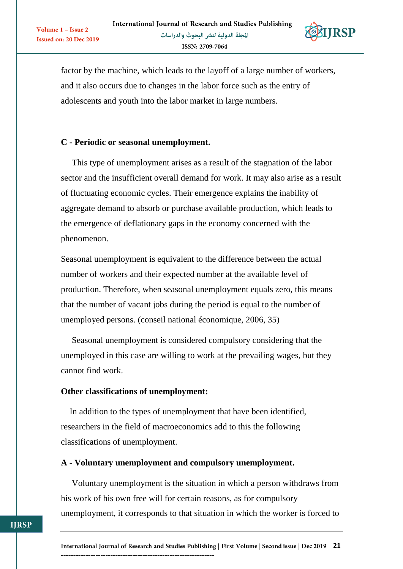

factor by the machine, which leads to the layoff of a large number of workers, and it also occurs due to changes in the labor force such as the entry of adolescents and youth into the labor market in large numbers.

### **C - Periodic or seasonal unemployment.**

Volume 1 - Issue 2

Issued on: 20 Dec 2019

 This type of unemployment arises as a result of the stagnation of the labor sector and the insufficient overall demand for work. It may also arise as a result of fluctuating economic cycles. Their emergence explains the inability of aggregate demand to absorb or purchase available production, which leads to the emergence of deflationary gaps in the economy concerned with the phenomenon.

Seasonal unemployment is equivalent to the difference between the actual number of workers and their expected number at the available level of production. Therefore, when seasonal unemployment equals zero, this means that the number of vacant jobs during the period is equal to the number of unemployed persons. (conseil national économique, 2006, 35)

 Seasonal unemployment is considered compulsory considering that the unemployed in this case are willing to work at the prevailing wages, but they cannot find work.

### **Other classifications of unemployment:**

 In addition to the types of unemployment that have been identified, researchers in the field of macroeconomics add to this the following classifications of unemployment.

### **A - Voluntary unemployment and compulsory unemployment.**

 Voluntary unemployment is the situation in which a person withdraws from his work of his own free will for certain reasons, as for compulsory unemployment, it corresponds to that situation in which the worker is forced to

--------------------------------------------------------------

**IIRSP**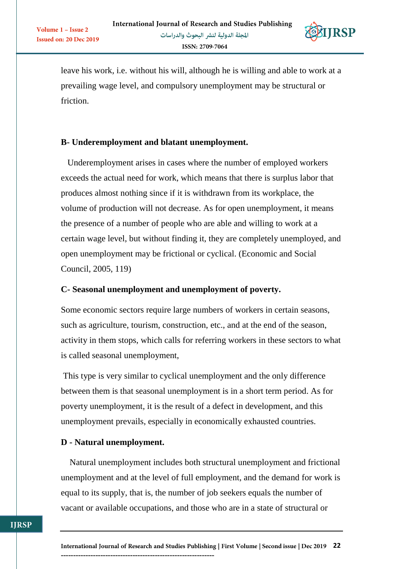

leave his work, i.e. without his will, although he is willing and able to work at a prevailing wage level, and compulsory unemployment may be structural or friction.

### **B- Underemployment and blatant unemployment.**

Volume 1 - Issue 2

**Issued on: 20 Dec 2019** 

 Underemployment arises in cases where the number of employed workers exceeds the actual need for work, which means that there is surplus labor that produces almost nothing since if it is withdrawn from its workplace, the volume of production will not decrease. As for open unemployment, it means the presence of a number of people who are able and willing to work at a certain wage level, but without finding it, they are completely unemployed, and open unemployment may be frictional or cyclical. (Economic and Social Council, 2005, 119)

### **C- Seasonal unemployment and unemployment of poverty.**

Some economic sectors require large numbers of workers in certain seasons, such as agriculture, tourism, construction, etc., and at the end of the season, activity in them stops, which calls for referring workers in these sectors to what is called seasonal unemployment,

This type is very similar to cyclical unemployment and the only difference between them is that seasonal unemployment is in a short term period. As for poverty unemployment, it is the result of a defect in development, and this unemployment prevails, especially in economically exhausted countries.

### **D - Natural unemployment.**

--------------------------------------------------------------

 Natural unemployment includes both structural unemployment and frictional unemployment and at the level of full employment, and the demand for work is equal to its supply, that is, the number of job seekers equals the number of vacant or available occupations, and those who are in a state of structural or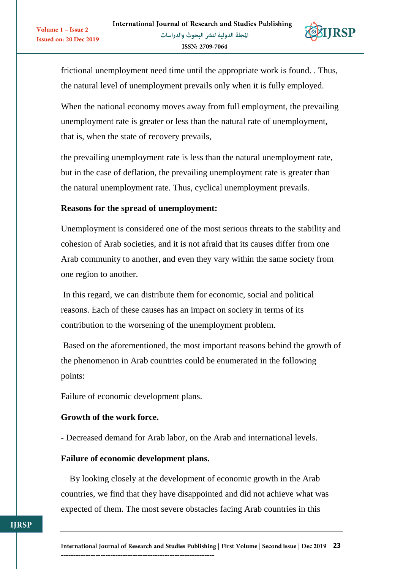

frictional unemployment need time until the appropriate work is found. . Thus, the natural level of unemployment prevails only when it is fully employed.

When the national economy moves away from full employment, the prevailing unemployment rate is greater or less than the natural rate of unemployment, that is, when the state of recovery prevails,

the prevailing unemployment rate is less than the natural unemployment rate, but in the case of deflation, the prevailing unemployment rate is greater than the natural unemployment rate. Thus, cyclical unemployment prevails.

### **Reasons for the spread of unemployment:**

Volume 1 - Issue 2

Unemployment is considered one of the most serious threats to the stability and cohesion of Arab societies, and it is not afraid that its causes differ from one Arab community to another, and even they vary within the same society from one region to another.

In this regard, we can distribute them for economic, social and political reasons. Each of these causes has an impact on society in terms of its contribution to the worsening of the unemployment problem.

Based on the aforementioned, the most important reasons behind the growth of the phenomenon in Arab countries could be enumerated in the following points:

Failure of economic development plans.

### **Growth of the work force.**

- Decreased demand for Arab labor, on the Arab and international levels.

#### **Failure of economic development plans.**

--------------------------------------------------------------

 By looking closely at the development of economic growth in the Arab countries, we find that they have disappointed and did not achieve what was expected of them. The most severe obstacles facing Arab countries in this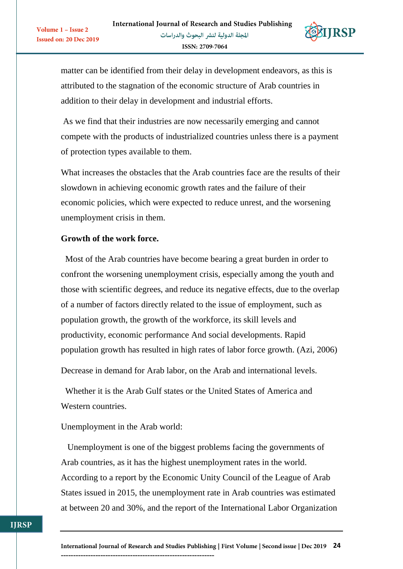

matter can be identified from their delay in development endeavors, as this is attributed to the stagnation of the economic structure of Arab countries in addition to their delay in development and industrial efforts.

As we find that their industries are now necessarily emerging and cannot compete with the products of industrialized countries unless there is a payment of protection types available to them.

What increases the obstacles that the Arab countries face are the results of their slowdown in achieving economic growth rates and the failure of their economic policies, which were expected to reduce unrest, and the worsening unemployment crisis in them.

#### **Growth of the work force.**

Volume 1 - Issue 2

Issued on: 20 Dec 2019

 Most of the Arab countries have become bearing a great burden in order to confront the worsening unemployment crisis, especially among the youth and those with scientific degrees, and reduce its negative effects, due to the overlap of a number of factors directly related to the issue of employment, such as population growth, the growth of the workforce, its skill levels and productivity, economic performance And social developments. Rapid population growth has resulted in high rates of labor force growth. (Azi, 2006)

Decrease in demand for Arab labor, on the Arab and international levels.

 Whether it is the Arab Gulf states or the United States of America and Western countries.

Unemployment in the Arab world:

--------------------------------------------------------------

 Unemployment is one of the biggest problems facing the governments of Arab countries, as it has the highest unemployment rates in the world. According to a report by the Economic Unity Council of the League of Arab States issued in 2015, the unemployment rate in Arab countries was estimated at between 20 and 30%, and the report of the International Labor Organization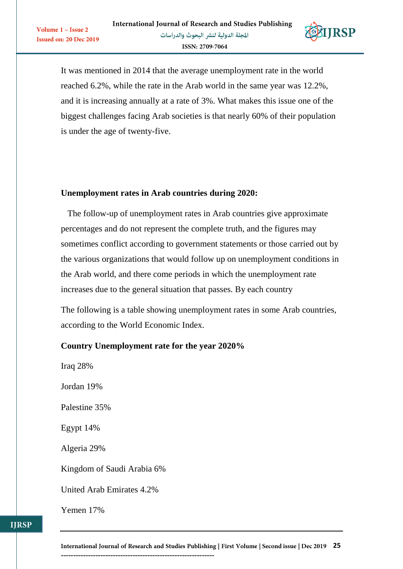

It was mentioned in 2014 that the average unemployment rate in the world reached 6.2%, while the rate in the Arab world in the same year was 12.2%, and it is increasing annually at a rate of 3%. What makes this issue one of the biggest challenges facing Arab societies is that nearly 60% of their population is under the age of twenty-five.

#### **Unemployment rates in Arab countries during 2020:**

 The follow-up of unemployment rates in Arab countries give approximate percentages and do not represent the complete truth, and the figures may sometimes conflict according to government statements or those carried out by the various organizations that would follow up on unemployment conditions in the Arab world, and there come periods in which the unemployment rate increases due to the general situation that passes. By each country

The following is a table showing unemployment rates in some Arab countries, according to the World Economic Index.

#### **Country Unemployment rate for the year 2020%**

Iraq 28% Jordan 19% Palestine 35% Egypt 14% Algeria 29% Kingdom of Saudi Arabia 6% United Arab Emirates 4.2% Yemen 17%

Volume 1 - Issue 2

Issued on: 20 Dec 2019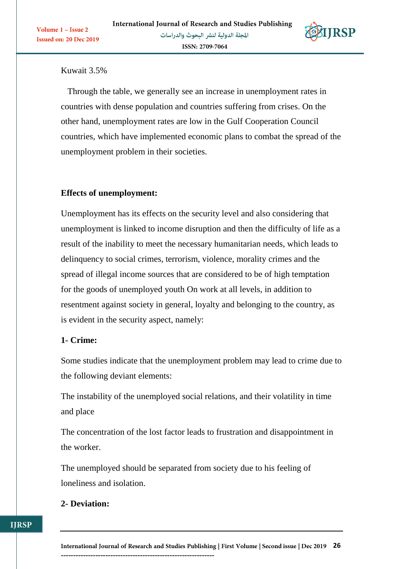

Kuwait 3.5%

Volume 1 - Issue 2

Issued on: 20 Dec 2019

 Through the table, we generally see an increase in unemployment rates in countries with dense population and countries suffering from crises. On the other hand, unemployment rates are low in the Gulf Cooperation Council countries, which have implemented economic plans to combat the spread of the unemployment problem in their societies.

### **Effects of unemployment:**

Unemployment has its effects on the security level and also considering that unemployment is linked to income disruption and then the difficulty of life as a result of the inability to meet the necessary humanitarian needs, which leads to delinquency to social crimes, terrorism, violence, morality crimes and the spread of illegal income sources that are considered to be of high temptation for the goods of unemployed youth On work at all levels, in addition to resentment against society in general, loyalty and belonging to the country, as is evident in the security aspect, namely:

### **1- Crime:**

Some studies indicate that the unemployment problem may lead to crime due to the following deviant elements:

The instability of the unemployed social relations, and their volatility in time and place

The concentration of the lost factor leads to frustration and disappointment in the worker.

The unemployed should be separated from society due to his feeling of loneliness and isolation.

### **2- Deviation:**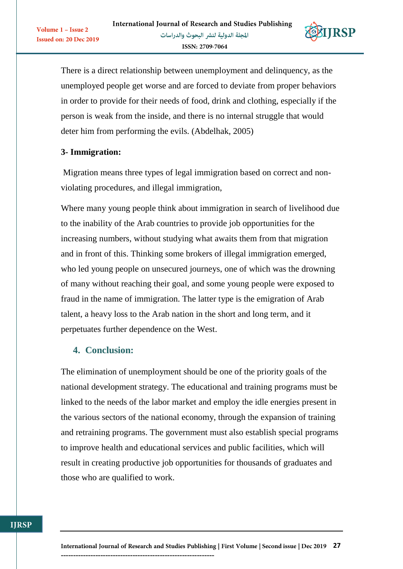

There is a direct relationship between unemployment and delinquency, as the unemployed people get worse and are forced to deviate from proper behaviors in order to provide for their needs of food, drink and clothing, especially if the person is weak from the inside, and there is no internal struggle that would deter him from performing the evils. (Abdelhak, 2005)

### **3- Immigration:**

Volume 1 - Issue 2

Issued on: 20 Dec 2019

Migration means three types of legal immigration based on correct and nonviolating procedures, and illegal immigration,

Where many young people think about immigration in search of livelihood due to the inability of the Arab countries to provide job opportunities for the increasing numbers, without studying what awaits them from that migration and in front of this. Thinking some brokers of illegal immigration emerged, who led young people on unsecured journeys, one of which was the drowning of many without reaching their goal, and some young people were exposed to fraud in the name of immigration. The latter type is the emigration of Arab talent, a heavy loss to the Arab nation in the short and long term, and it perpetuates further dependence on the West.

### **4. Conclusion:**

The elimination of unemployment should be one of the priority goals of the national development strategy. The educational and training programs must be linked to the needs of the labor market and employ the idle energies present in the various sectors of the national economy, through the expansion of training and retraining programs. The government must also establish special programs to improve health and educational services and public facilities, which will result in creating productive job opportunities for thousands of graduates and those who are qualified to work.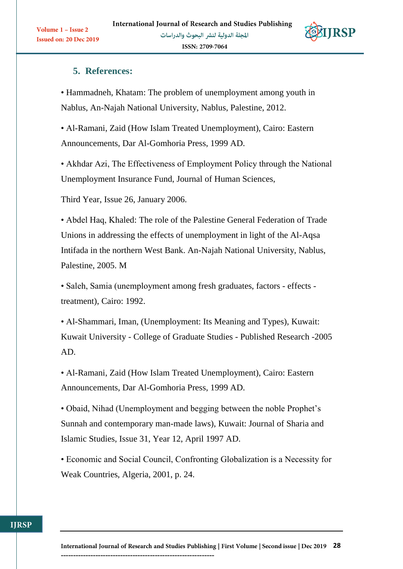

Volume 1 - Issue 2

**Issued on: 20 Dec 2019** 

# **5. References:**

• Hammadneh, Khatam: The problem of unemployment among youth in Nablus, An-Najah National University, Nablus, Palestine, 2012.

• Al-Ramani, Zaid (How Islam Treated Unemployment), Cairo: Eastern Announcements, Dar Al-Gomhoria Press, 1999 AD.

• Akhdar Azi, The Effectiveness of Employment Policy through the National Unemployment Insurance Fund, Journal of Human Sciences,

Third Year, Issue 26, January 2006.

• Abdel Haq, Khaled: The role of the Palestine General Federation of Trade Unions in addressing the effects of unemployment in light of the Al-Aqsa Intifada in the northern West Bank. An-Najah National University, Nablus, Palestine, 2005. M

• Saleh, Samia (unemployment among fresh graduates, factors - effects treatment), Cairo: 1992.

• Al-Shammari, Iman, (Unemployment: Its Meaning and Types), Kuwait: Kuwait University - College of Graduate Studies - Published Research -2005 AD.

• Al-Ramani, Zaid (How Islam Treated Unemployment), Cairo: Eastern Announcements, Dar Al-Gomhoria Press, 1999 AD.

• Obaid, Nihad (Unemployment and begging between the noble Prophet's Sunnah and contemporary man-made laws), Kuwait: Journal of Sharia and Islamic Studies, Issue 31, Year 12, April 1997 AD.

• Economic and Social Council, Confronting Globalization is a Necessity for Weak Countries, Algeria, 2001, p. 24.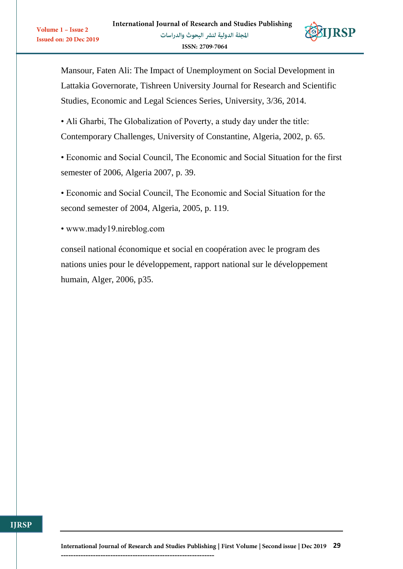

Mansour, Faten Ali: The Impact of Unemployment on Social Development in Lattakia Governorate, Tishreen University Journal for Research and Scientific Studies, Economic and Legal Sciences Series, University, 3/36, 2014.

• Ali Gharbi, The Globalization of Poverty, a study day under the title: Contemporary Challenges, University of Constantine, Algeria, 2002, p. 65.

• Economic and Social Council, The Economic and Social Situation for the first semester of 2006, Algeria 2007, p. 39.

• Economic and Social Council, The Economic and Social Situation for the second semester of 2004, Algeria, 2005, p. 119.

• www.mady19.nireblog.com

Volume 1 - Issue 2

**Issued on: 20 Dec 2019** 

conseil national économique et social en coopération avec le program des nations unies pour le développement, rapport national sur le développement humain, Alger, 2006, p35.

**IIRSP**